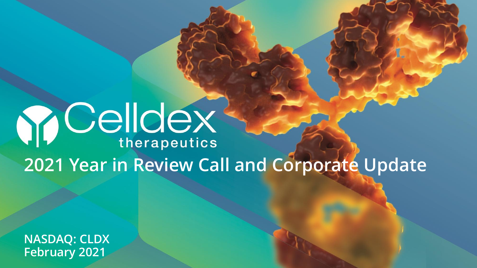# **Y Celldex 2021 Year in Review Call and Corporate Update**

**NASDAQ: CLDX February 2021**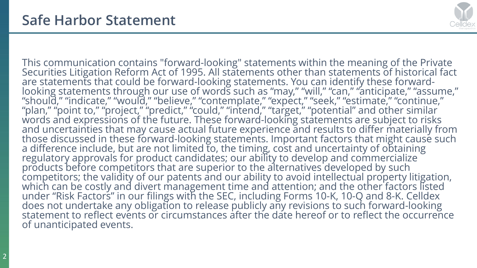

This communication contains "forward-looking" statements within the meaning of the Private Securities Litigation Reform Act of 1995. All statements other than statements of historical fact are statements that could be forward-looking statements. You can identify these forwardlooking statements through our use of words such as "may," "will," "can," "anticipate," "assume," "should," "indicate," "would," "believe," "contemplate," "expect," "seek," "estimate," "continue," "plan," "point to," "project," "predict," "could," "intend," "target," "potential" and other similar words and expressions of the future. These forward-looking statements are subject to risks and uncertainties that may cause actual future experience and results to differ materially from those discussed in these forward-looking statements. Important factors that might cause such a difference include, but are not limited to, the timing, cost and uncertainty of obtaining regulatory approvals for product candidates; our ability to develop and commercialize products before competitors that are superior to the alternatives developed by such competitors; the validity of our patents and our ability to avoid intellectual property litigation, which can be costly and divert management time and attention; and the other factors listed under "Risk Factors" in our filings with the SEC, including Forms 10-K, 10-Q and 8-K. Celldex does not undertake any obligation to release publicly any revisions to such forward-looking statement to reflect events or circumstances after the date hereof or to reflect the occurrence of unanticipated events.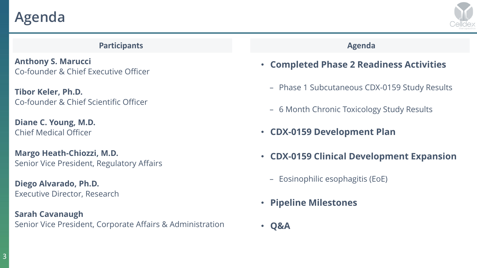**Agenda**



#### **Participants Agenda**

**Anthony S. Marucci** Co-founder & Chief Executive Officer

**Tibor Keler, Ph.D.** Co-founder & Chief Scientific Officer

**Diane C. Young, M.D.** Chief Medical Officer

**Margo Heath-Chiozzi, M.D.** Senior Vice President, Regulatory Affairs

**Diego Alvarado, Ph.D.** Executive Director, Research

**Sarah Cavanaugh**  Senior Vice President, Corporate Affairs & Administration

- **Completed Phase 2 Readiness Activities**
	- Phase 1 Subcutaneous CDX-0159 Study Results
	- 6 Month Chronic Toxicology Study Results
- **CDX-0159 Development Plan**
- **CDX-0159 Clinical Development Expansion**
	- Eosinophilic esophagitis (EoE)
- **Pipeline Milestones**
- **Q&A**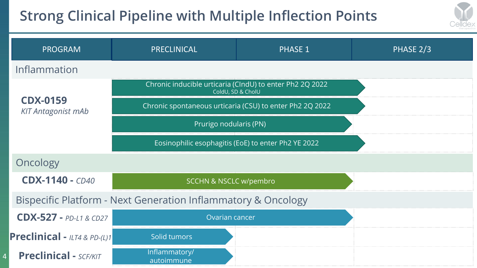## **Strong Clinical Pipeline with Multiple Inflection Points**

4



| <b>PROGRAM</b>                                                           | PRECLINICAL                                                                   | <b>PHASE 1</b> | PHASE 2/3 |  |  |  |  |
|--------------------------------------------------------------------------|-------------------------------------------------------------------------------|----------------|-----------|--|--|--|--|
| Inflammation                                                             |                                                                               |                |           |  |  |  |  |
| <b>CDX-0159</b><br><b>KIT Antagonist mAb</b>                             | Chronic inducible urticaria (CIndU) to enter Ph2 2Q 2022<br>ColdU, SD & CholU |                |           |  |  |  |  |
|                                                                          | Chronic spontaneous urticaria (CSU) to enter Ph2 2Q 2022                      |                |           |  |  |  |  |
|                                                                          | Prurigo nodularis (PN)                                                        |                |           |  |  |  |  |
|                                                                          | Eosinophilic esophagitis (EoE) to enter Ph2 YE 2022                           |                |           |  |  |  |  |
| Oncology                                                                 |                                                                               |                |           |  |  |  |  |
| $CDX-1140 - CD40$                                                        | <b>SCCHN &amp; NSCLC w/pembro</b>                                             |                |           |  |  |  |  |
| <b>Bispecific Platform - Next Generation Inflammatory &amp; Oncology</b> |                                                                               |                |           |  |  |  |  |
| $CDX-527 - PD-L1 & CD27$                                                 | Ovarian cancer                                                                |                |           |  |  |  |  |
| <b>Preclinical</b> - $ LT4 & PD-(L)1 $                                   | Solid tumors                                                                  |                |           |  |  |  |  |
| <b>Preclinical - SCF/KIT</b>                                             | Inflammatory/<br>autoimmune                                                   |                |           |  |  |  |  |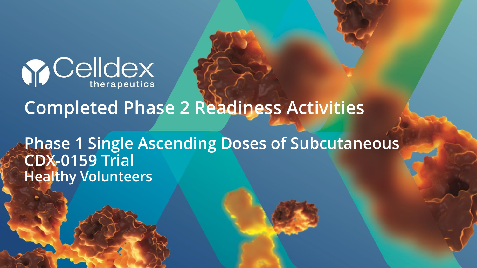

# **Completed Phase 2 Readiness Activities**

**Phase 1 Single Ascending Doses of Subcutaneous CDX-0159 Trial Healthy Volunteers**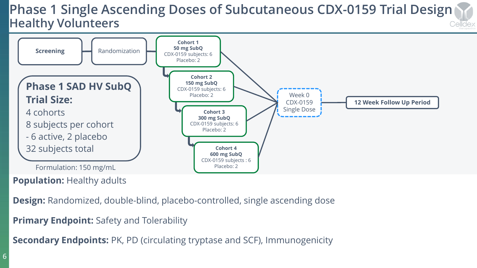#### **Phase 1 Single Ascending Doses of Subcutaneous CDX-0159 Trial Design Healthy Volunteers** Celldex



**Population: Healthy adults** 

**Design:** Randomized, double-blind, placebo-controlled, single ascending dose

**Primary Endpoint:** Safety and Tolerability

**Secondary Endpoints:** PK, PD (circulating tryptase and SCF), Immunogenicity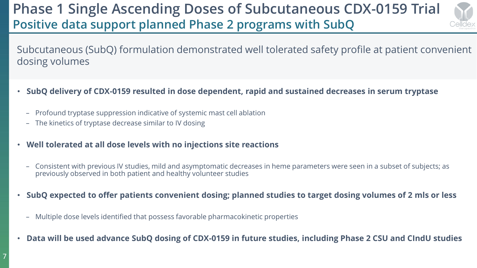### **Phase 1 Single Ascending Doses of Subcutaneous CDX-0159 Trial Positive data support planned Phase 2 programs with SubQ**



Subcutaneous (SubQ) formulation demonstrated well tolerated safety profile at patient convenient dosing volumes

- **SubQ delivery of CDX-0159 resulted in dose dependent, rapid and sustained decreases in serum tryptase**
	- Profound tryptase suppression indicative of systemic mast cell ablation
	- The kinetics of tryptase decrease similar to IV dosing
- **Well tolerated at all dose levels with no injections site reactions**
	- Consistent with previous IV studies, mild and asymptomatic decreases in heme parameters were seen in a subset of subjects; as previously observed in both patient and healthy volunteer studies
- **SubQ expected to offer patients convenient dosing; planned studies to target dosing volumes of 2 mls or less**
	- Multiple dose levels identified that possess favorable pharmacokinetic properties
- **Data will be used advance SubQ dosing of CDX-0159 in future studies, including Phase 2 CSU and CIndU studies**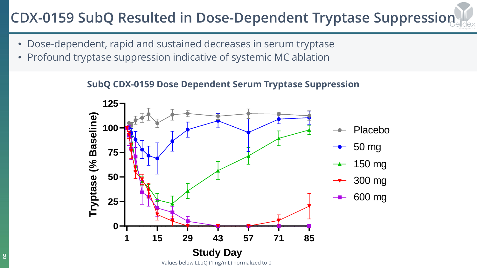# **CDX-0159 SubQ Resulted in Dose-Dependent Tryptase Suppression**

- Dose-dependent, rapid and sustained decreases in serum tryptase
- Profound tryptase suppression indicative of systemic MC ablation

**SubQ CDX-0159 Dose Dependent Serum Tryptase Suppression**

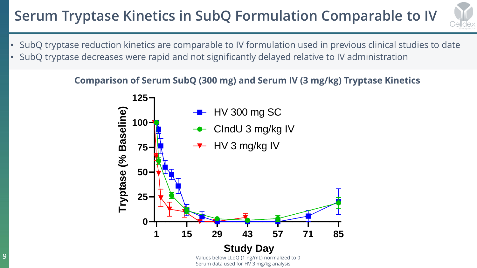# **Serum Tryptase Kinetics in SubQ Formulation Comparable to IV**



- SubQ tryptase reduction kinetics are comparable to IV formulation used in previous clinical studies to date
- SubQ tryptase decreases were rapid and not significantly delayed relative to IV administration

**Comparison of Serum SubQ (300 mg) and Serum IV (3 mg/kg) Tryptase Kinetics**

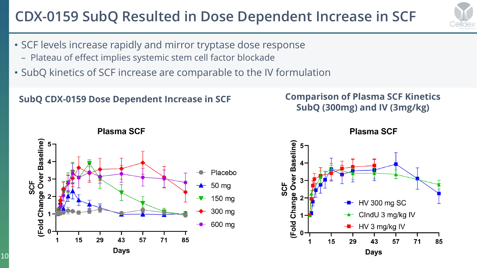## **CDX-0159 SubQ Resulted in Dose Dependent Increase in SCF**

- SCF levels increase rapidly and mirror tryptase dose response
	- Plateau of effect implies systemic stem cell factor blockade
- SubQ kinetics of SCF increase are comparable to the IV formulation

### **SubQ CDX-0159 Dose Dependent Increase in SCF Comparison of Plasma SCF Kinetics**

# **SubQ (300mg) and IV (3mg/kg)**



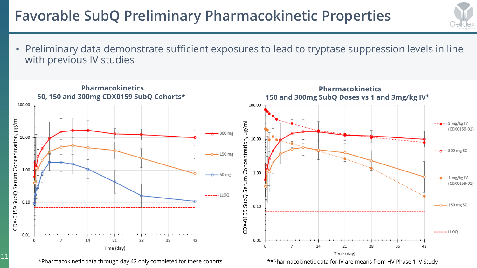### **Favorable SubQ Preliminary Pharmacokinetic Properties**



• Preliminary data demonstrate sufficient exposures to lead to tryptase suppression levels in line with previous IV studies



\*Pharmacokinetic data through day 42 only completed for these cohorts

11

\*\*Pharmacokinetic data for IV are means from HV Phase 1 IV Study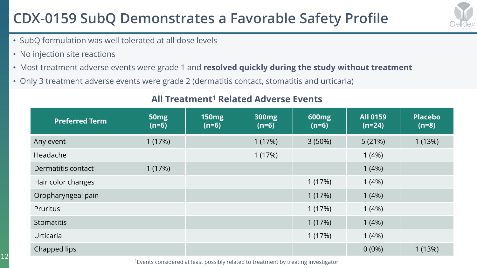## **CDX-0159 SubQ Demonstrates a Favorable Safety Profile**



- SubQ formulation was well tolerated at all dose levels
- No injection site reactions
- Most treatment adverse events were grade 1 and **resolved quickly during the study without treatment**
- Only 3 treatment adverse events were grade 2 (dermatitis contact, stomatitis and urticaria)

| <b>Preferred Term</b> | 50 <sub>mg</sub><br>$(n=6)$ | <b>150mg</b><br>$(n=6)$ | <b>300mg</b><br>$(n=6)$ | <b>600mg</b><br>$(n=6)$ | <b>All 0159</b><br>$(n=24)$ | <b>Placebo</b><br>$(n=8)$ |
|-----------------------|-----------------------------|-------------------------|-------------------------|-------------------------|-----------------------------|---------------------------|
| Any event             | 1(17%)                      |                         | 1(17%)                  | $3(50\%)$               | 5(21%)                      | 1(13%)                    |
| Headache              |                             |                         | 1(17%)                  |                         | 1(4%)                       |                           |
| Dermatitis contact    | 1(17%)                      |                         |                         |                         | 1(4%)                       |                           |
| Hair color changes    |                             |                         |                         | 1(17%)                  | 1(4%)                       |                           |
| Oropharyngeal pain    |                             |                         |                         | 1(17%)                  | 1(4%)                       |                           |
| <b>Pruritus</b>       |                             |                         |                         | 1(17%)                  | 1(4%)                       |                           |
| <b>Stomatitis</b>     |                             |                         |                         | 1(17%)                  | 1(4%)                       |                           |
| <b>Urticaria</b>      |                             |                         |                         | 1(17%)                  | 1(4%)                       |                           |
| Chapped lips          |                             |                         |                         |                         | $0(0\%)$                    | 1(13%)                    |

### **All Treatment<sup>1</sup> Related Adverse Events**

<sup>1</sup>Events considered at least possibly related to treatment by treating investigator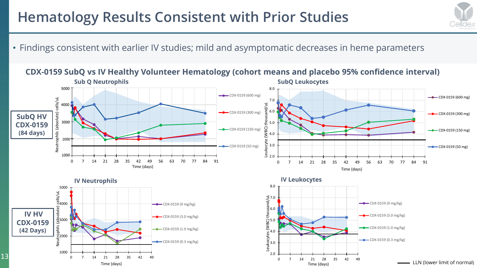### **Hematology Results Consistent with Prior Studies**

• Findings consistent with earlier IV studies; mild and asymptomatic decreases in heme parameters

;ellde;

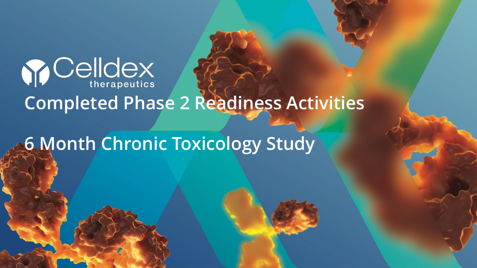

# **Completed Phase 2 Readiness Activities**

**6 Month Chronic Toxicology Study**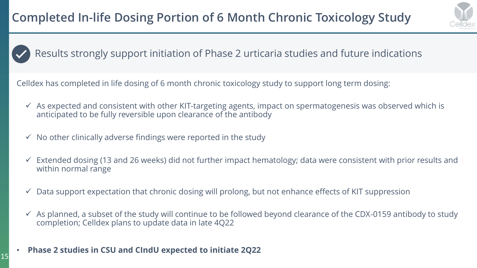

### Results strongly support initiation of Phase 2 urticaria studies and future indications

Celldex has completed in life dosing of 6 month chronic toxicology study to support long term dosing:

- $\checkmark$  As expected and consistent with other KIT-targeting agents, impact on spermatogenesis was observed which is anticipated to be fully reversible upon clearance of the antibody
- $\checkmark$  No other clinically adverse findings were reported in the study
- ✓ Extended dosing (13 and 26 weeks) did not further impact hematology; data were consistent with prior results and within normal range
- $\checkmark$  Data support expectation that chronic dosing will prolong, but not enhance effects of KIT suppression
- $\checkmark$  As planned, a subset of the study will continue to be followed beyond clearance of the CDX-0159 antibody to study completion; Celldex plans to update data in late 4Q22

#### • **Phase 2 studies in CSU and CIndU expected to initiate 2Q22**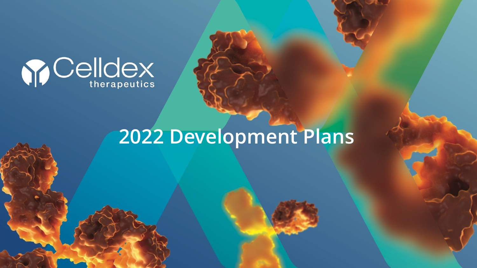

# **2022 Development Plans**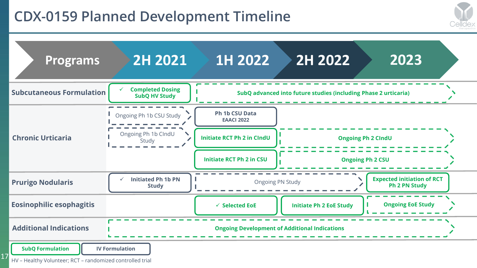### **CDX-0159 Planned Development Timeline**



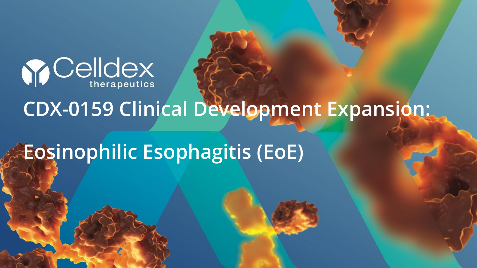

# **CDX-0159 Clinical Development Expansion:**

# **Eosinophilic Esophagitis (EoE)**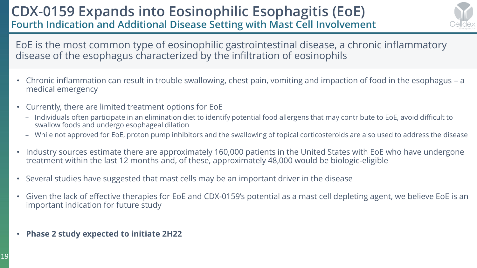### **CDX-0159 Expands into Eosinophilic Esophagitis (EoE) Fourth Indication and Additional Disease Setting with Mast Cell Involvement**



EoE is the most common type of eosinophilic gastrointestinal disease, a chronic inflammatory disease of the esophagus characterized by the infiltration of eosinophils

- Chronic inflammation can result in trouble swallowing, chest pain, vomiting and impaction of food in the esophagus a medical emergency
- Currently, there are limited treatment options for EoE
	- Individuals often participate in an elimination diet to identify potential food allergens that may contribute to EoE, avoid difficult to swallow foods and undergo esophageal dilation
	- While not approved for EoE, proton pump inhibitors and the swallowing of topical corticosteroids are also used to address the disease
- Industry sources estimate there are approximately 160,000 patients in the United States with EoE who have undergone treatment within the last 12 months and, of these, approximately 48,000 would be biologic-eligible
- Several studies have suggested that mast cells may be an important driver in the disease
- Given the lack of effective therapies for EoE and CDX-0159's potential as a mast cell depleting agent, we believe EoE is an important indication for future study
- **Phase 2 study expected to initiate 2H22**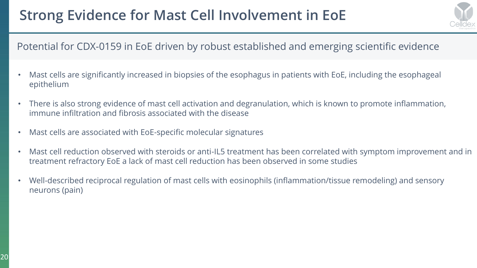## **Strong Evidence for Mast Cell Involvement in EoE**



### Potential for CDX-0159 in EoE driven by robust established and emerging scientific evidence

- Mast cells are significantly increased in biopsies of the esophagus in patients with EoE, including the esophageal epithelium
- There is also strong evidence of mast cell activation and degranulation, which is known to promote inflammation, immune infiltration and fibrosis associated with the disease
- Mast cells are associated with EoE-specific molecular signatures
- Mast cell reduction observed with steroids or anti-IL5 treatment has been correlated with symptom improvement and in treatment refractory EoE a lack of mast cell reduction has been observed in some studies
- Well-described reciprocal regulation of mast cells with eosinophils (inflammation/tissue remodeling) and sensory neurons (pain)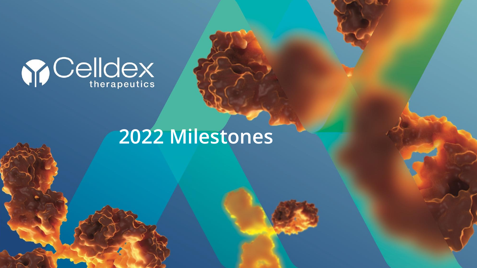

# **2022 Milestones**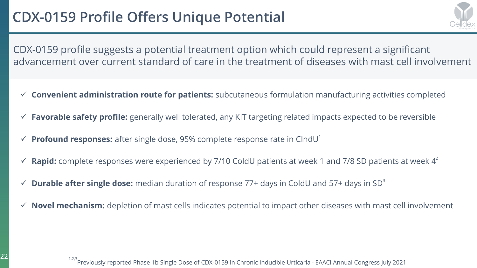

CDX-0159 profile suggests a potential treatment option which could represent a significant advancement over current standard of care in the treatment of diseases with mast cell involvement

- ✓ **Convenient administration route for patients:** subcutaneous formulation manufacturing activities completed
- ✓ **Favorable safety profile:** generally well tolerated, any KIT targeting related impacts expected to be reversible
- ✓ **Profound responses:** after single dose, 95% complete response rate in CIndU<sup>1</sup>
- $\checkmark$  **Rapid:** complete responses were experienced by 7/10 ColdU patients at week 1 and 7/8 SD patients at week  $4^2$
- $\checkmark$  **Durable after single dose:** median duration of response 77+ days in ColdU and 57+ days in SD<sup>3</sup>
- $\checkmark$  **Novel mechanism:** depletion of mast cells indicates potential to impact other diseases with mast cell involvement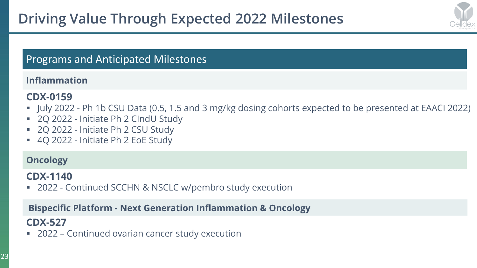

### Programs and Anticipated Milestones

### **Inflammation**

### **CDX-0159**

- July 2022 Ph 1b CSU Data (0.5, 1.5 and 3 mg/kg dosing cohorts expected to be presented at EAACI 2022)
- 2Q 2022 Initiate Ph 2 CIndU Study
- 2Q 2022 Initiate Ph 2 CSU Study
- 4Q 2022 Initiate Ph 2 EoE Study

### **Oncology**

#### **CDX-1140**

■ 2022 - Continued SCCHN & NSCLC w/pembro study execution

#### **Bispecific Platform - Next Generation Inflammation & Oncology**

### **CDX-527**

■ 2022 – Continued ovarian cancer study execution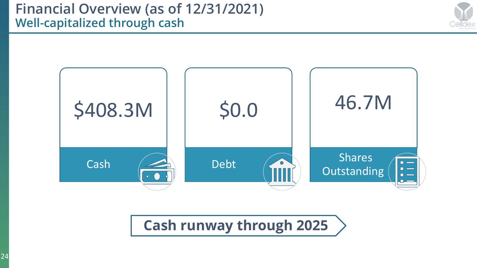